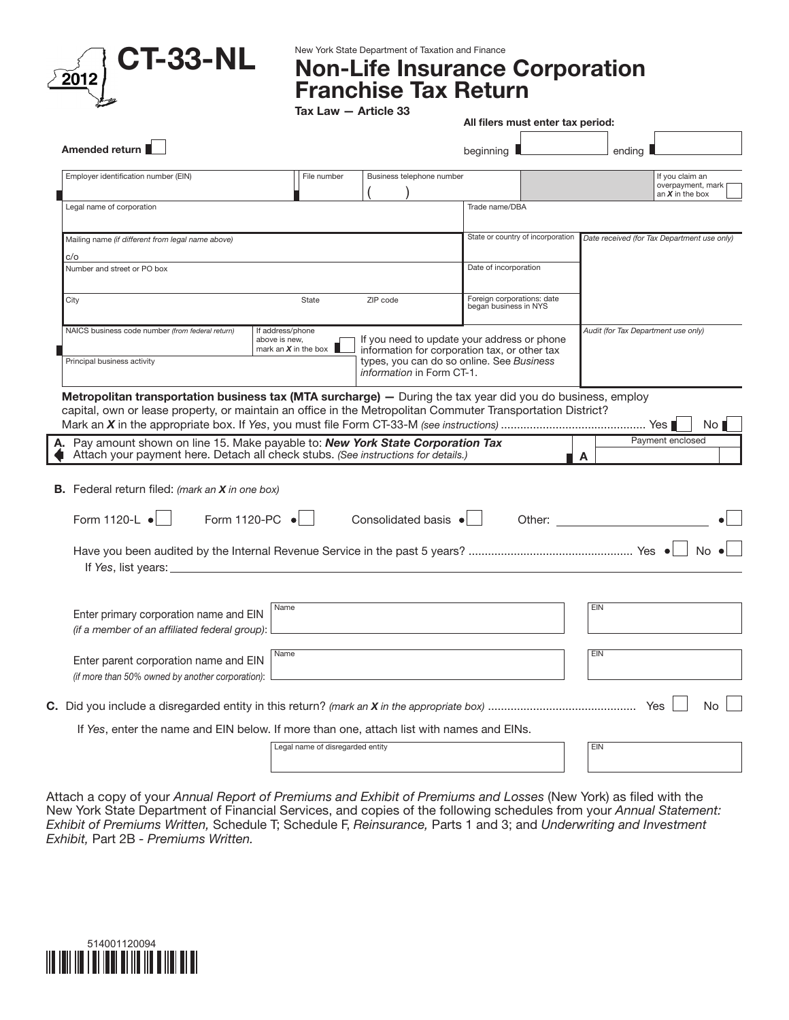

New York State Department of Taxation and Finance

## Non-Life Insurance Corporation Franchise Tax Return

|                                                                                                                                                                                                                                                                                                              |                                                             |                              | All filers must enter tax period:                                                                                                         |                                                                                                                                                                                                                                |                                                           |
|--------------------------------------------------------------------------------------------------------------------------------------------------------------------------------------------------------------------------------------------------------------------------------------------------------------|-------------------------------------------------------------|------------------------------|-------------------------------------------------------------------------------------------------------------------------------------------|--------------------------------------------------------------------------------------------------------------------------------------------------------------------------------------------------------------------------------|-----------------------------------------------------------|
| Amended return                                                                                                                                                                                                                                                                                               |                                                             |                              | beginning $\blacksquare$                                                                                                                  |                                                                                                                                                                                                                                | endina I                                                  |
| Employer identification number (EIN)                                                                                                                                                                                                                                                                         | File number                                                 | Business telephone number    |                                                                                                                                           |                                                                                                                                                                                                                                | If you claim an<br>overpayment, mark<br>an $X$ in the box |
| Legal name of corporation                                                                                                                                                                                                                                                                                    |                                                             |                              | Trade name/DBA                                                                                                                            |                                                                                                                                                                                                                                |                                                           |
| Mailing name (if different from legal name above)                                                                                                                                                                                                                                                            |                                                             |                              | State or country of incorporation                                                                                                         |                                                                                                                                                                                                                                | Date received (for Tax Department use only)               |
| c/o<br>Number and street or PO box                                                                                                                                                                                                                                                                           |                                                             |                              | Date of incorporation                                                                                                                     |                                                                                                                                                                                                                                |                                                           |
| City                                                                                                                                                                                                                                                                                                         | State                                                       | ZIP code                     | Foreign corporations: date<br>began business in NYS                                                                                       |                                                                                                                                                                                                                                |                                                           |
| NAICS business code number (from federal return)<br>Principal business activity                                                                                                                                                                                                                              | If address/phone<br>above is new.<br>mark an $X$ in the box | information in Form CT-1.    | If you need to update your address or phone<br>information for corporation tax, or other tax<br>types, you can do so online. See Business |                                                                                                                                                                                                                                | Audit (for Tax Department use only)                       |
| Metropolitan transportation business tax (MTA surcharge) - During the tax year did you do business, employ<br>capital, own or lease property, or maintain an office in the Metropolitan Commuter Transportation District?<br>A. Pay amount shown on line 15. Make payable to: New York State Corporation Tax |                                                             |                              |                                                                                                                                           |                                                                                                                                                                                                                                | No <sub>1</sub><br>Payment enclosed                       |
| Attach your payment here. Detach all check stubs. (See instructions for details.)<br><b>B.</b> Federal return filed: <i>(mark an X in one box)</i>                                                                                                                                                           |                                                             |                              |                                                                                                                                           | A                                                                                                                                                                                                                              |                                                           |
| Form 1120-PC •<br>Form 1120-L $\bullet$                                                                                                                                                                                                                                                                      |                                                             | Consolidated basis $\bullet$ |                                                                                                                                           | Other: and the control of the control of the control of the control of the control of the control of the control of the control of the control of the control of the control of the control of the control of the control of t |                                                           |
| If Yes, list years: $\frac{1}{2}$ is a set of Yes, list years:                                                                                                                                                                                                                                               |                                                             |                              |                                                                                                                                           |                                                                                                                                                                                                                                | $No \bullet$                                              |
| Enter primary corporation name and EIN<br>(if a member of an affiliated federal group):                                                                                                                                                                                                                      | Name                                                        |                              |                                                                                                                                           | EIN                                                                                                                                                                                                                            |                                                           |
| Enter parent corporation name and EIN<br>(if more than 50% owned by another corporation):                                                                                                                                                                                                                    | Name                                                        |                              |                                                                                                                                           | EIN                                                                                                                                                                                                                            |                                                           |
|                                                                                                                                                                                                                                                                                                              |                                                             |                              |                                                                                                                                           |                                                                                                                                                                                                                                | No                                                        |
| If Yes, enter the name and EIN below. If more than one, attach list with names and EINs.                                                                                                                                                                                                                     |                                                             |                              |                                                                                                                                           |                                                                                                                                                                                                                                |                                                           |
|                                                                                                                                                                                                                                                                                                              | Legal name of disregarded entity                            |                              |                                                                                                                                           | <b>EIN</b>                                                                                                                                                                                                                     |                                                           |

Attach a copy of your *Annual Report of Premiums and Exhibit of Premiums and Losses* (New York) as filed with the New York State Department of Financial Services, and copies of the following schedules from your *Annual Statement: Exhibit of Premiums Written,* Schedule T; Schedule F, *Reinsurance,* Parts 1 and 3; and *Underwriting and Investment Exhibit,* Part 2B *- Premiums Written.*

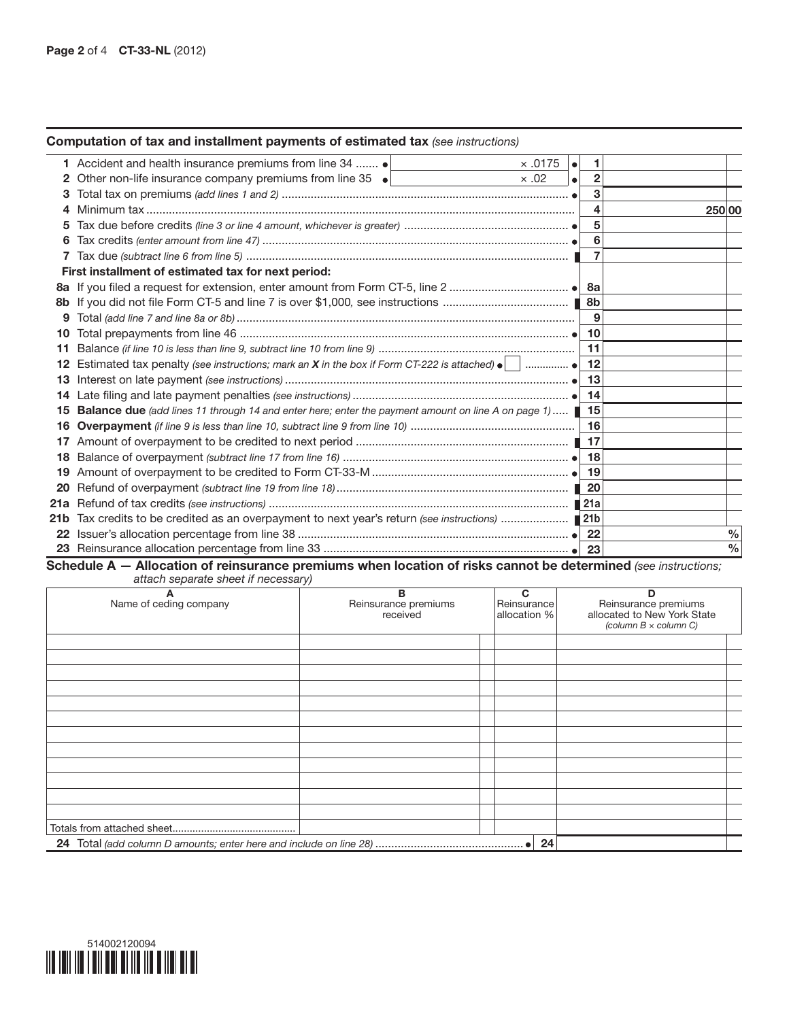## Computation of tax and installment payments of estimated tax *(see instructions)*

|     | 1 Accident and health insurance premiums from line 34  .<br>$\times$ .0175<br>$\bullet$                                   |              |               |
|-----|---------------------------------------------------------------------------------------------------------------------------|--------------|---------------|
|     | Other non-life insurance company premiums from line 35 •<br>$\times .02$<br>$\bullet$                                     | $\mathbf{2}$ |               |
|     |                                                                                                                           | 3            |               |
|     |                                                                                                                           | 4            | 250 00        |
|     |                                                                                                                           | 5            |               |
| 6   |                                                                                                                           | 6            |               |
|     |                                                                                                                           |              |               |
|     | First installment of estimated tax for next period:                                                                       |              |               |
| 8a  |                                                                                                                           | 8a           |               |
| 8b. |                                                                                                                           | 8b           |               |
| 9   |                                                                                                                           | 9            |               |
| 10  |                                                                                                                           | 10           |               |
| 11  |                                                                                                                           | 11           |               |
| 12  | Estimated tax penalty (see instructions; mark an <b>X</b> in the box if Form CT-222 is attached) $\bullet$ _____________. | 12           |               |
| 13  |                                                                                                                           | 13           |               |
| 14  |                                                                                                                           | 14           |               |
| 15  | Balance due (add lines 11 through 14 and enter here; enter the payment amount on line A on page 1)                        | 15           |               |
| 16  |                                                                                                                           | 16           |               |
| 17  |                                                                                                                           | 17           |               |
| 18  |                                                                                                                           | 18           |               |
| 19  |                                                                                                                           | 19           |               |
| 20  |                                                                                                                           | 20           |               |
|     |                                                                                                                           |              |               |
|     | 21b Tax credits to be credited as an overpayment to next year's return (see instructions)  21b                            |              |               |
|     |                                                                                                                           | 22           | $\frac{0}{0}$ |
|     |                                                                                                                           | 23           | $\frac{0}{0}$ |

Schedule A — Allocation of reinsurance premiums when location of risks cannot be determined *(see instructions; attach separate sheet if necessary)*

| Α                      | . .<br>в                         | C                           | ח                                                                                   |
|------------------------|----------------------------------|-----------------------------|-------------------------------------------------------------------------------------|
| Name of ceding company | Reinsurance premiums<br>received | Reinsurance<br>allocation % | Reinsurance premiums<br>allocated to New York State<br>(column $B \times$ column C) |
|                        |                                  |                             |                                                                                     |
|                        |                                  |                             |                                                                                     |
|                        |                                  |                             |                                                                                     |
|                        |                                  |                             |                                                                                     |
|                        |                                  |                             |                                                                                     |
|                        |                                  |                             |                                                                                     |
|                        |                                  |                             |                                                                                     |
|                        |                                  |                             |                                                                                     |
|                        |                                  |                             |                                                                                     |
|                        |                                  |                             |                                                                                     |
|                        |                                  |                             |                                                                                     |
|                        |                                  |                             |                                                                                     |
|                        |                                  |                             |                                                                                     |
|                        |                                  |                             |                                                                                     |

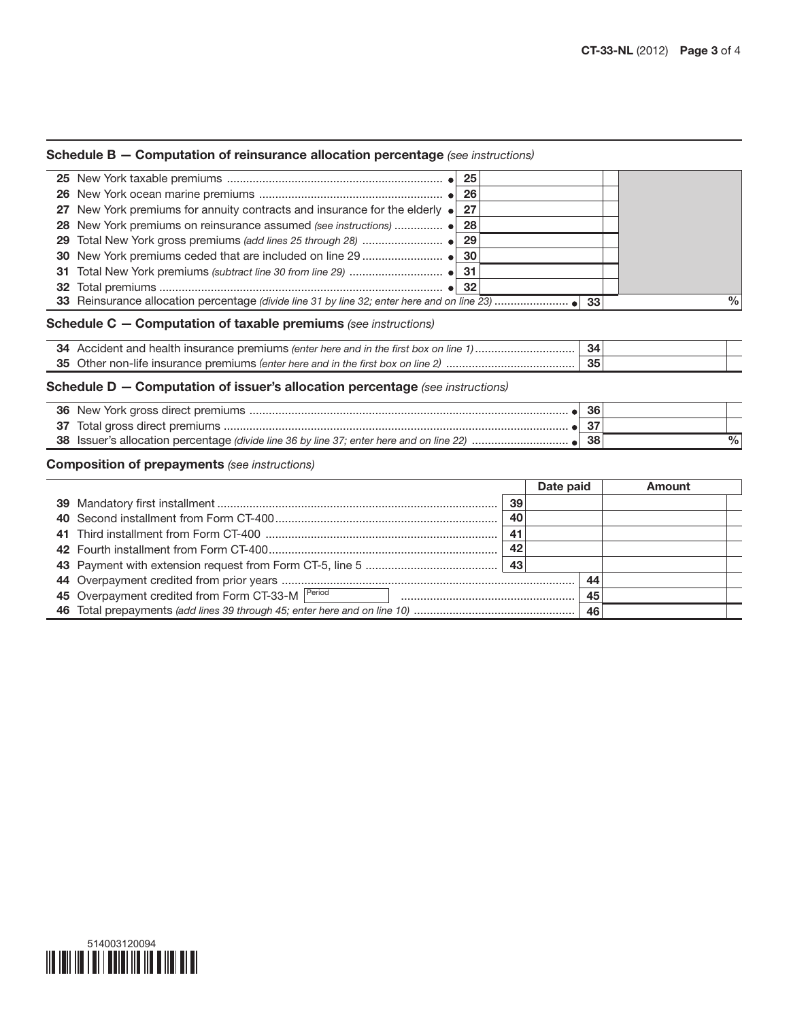## Schedule B — Computation of reinsurance allocation percentage *(see instructions)*

|    | 25                                                                                    |    |      |
|----|---------------------------------------------------------------------------------------|----|------|
| 26 | 26                                                                                    |    |      |
| 27 | New York premiums for annuity contracts and insurance for the elderly $\bullet$<br>27 |    |      |
| 28 | 28                                                                                    |    |      |
| 29 | 29                                                                                    |    |      |
| 30 | 30                                                                                    |    |      |
| 31 | -31                                                                                   |    |      |
| 32 |                                                                                       |    |      |
|    |                                                                                       |    |      |
|    |                                                                                       | 33 | $\%$ |
|    | <b>Schedule C – Computation of taxable premiums</b> (see instructions)                |    |      |
|    | 34 Accident and health insurance premiums (enter here and in the first box on line 1) | 34 |      |
|    |                                                                                       | 35 |      |
|    | <b>Schedule D – Computation of issuer's allocation percentage</b> (see instructions)  |    |      |
| 36 |                                                                                       | 36 |      |
| 37 |                                                                                       | 37 |      |

## Composition of prepayments *(see instructions)*

|    | Date paid |     | Amount |
|----|-----------|-----|--------|
| 39 |           |     |        |
| 40 |           |     |        |
| 41 |           |     |        |
| 42 |           |     |        |
|    |           |     |        |
|    |           | -44 |        |
|    |           |     |        |
|    |           | 46  |        |